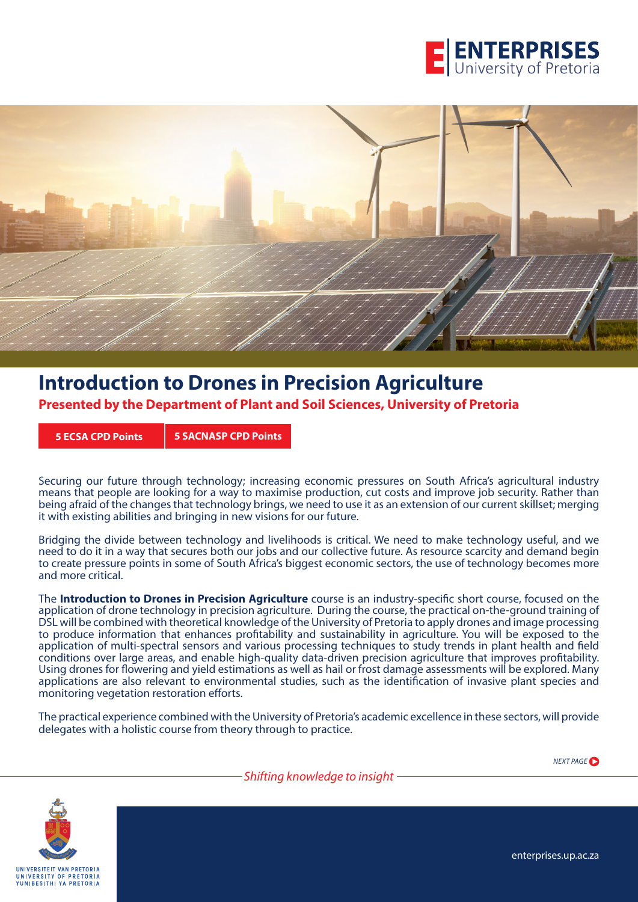



# **Introduction to Drones in Precision Agriculture**

**Presented by the Department of Plant and Soil Sciences, University of Pretoria**

**5 ECSA CPD Points 5 SACNASP CPD Points**

Securing our future through technology; increasing economic pressures on South Africa's agricultural industry means that people are looking for a way to maximise production, cut costs and improve job security. Rather than being afraid of the changes that technology brings, we need to use it as an extension of our current skillset; merging it with existing abilities and bringing in new visions for our future.

Bridging the divide between technology and livelihoods is critical. We need to make technology useful, and we need to do it in a way that secures both our jobs and our collective future. As resource scarcity and demand begin to create pressure points in some of South Africa's biggest economic sectors, the use of technology becomes more and more critical.

The **Introduction to Drones in Precision Agriculture** course is an industry-specific short course, focused on the application of drone technology in precision agriculture. During the course, the practical on-the-ground training of DSL will be combined with theoretical knowledge of the University of Pretoria to apply drones and image processing to produce information that enhances profitability and sustainability in agriculture. You will be exposed to the application of multi-spectral sensors and various processing techniques to study trends in plant health and field conditions over large areas, and enable high-quality data-driven precision agriculture that improves profitability. Using drones for flowering and yield estimations as well as hail or frost damage assessments will be explored. Many applications are also relevant to environmental studies, such as the identification of invasive plant species and monitoring vegetation restoration efforts.

The practical experience combined with the University of Pretoria's academic excellence in these sectors, will provide delegates with a holistic course from theory through to practice.

*NEXT PAGE*



enterprises.up.ac.za

*Shifting knowledge to insight*